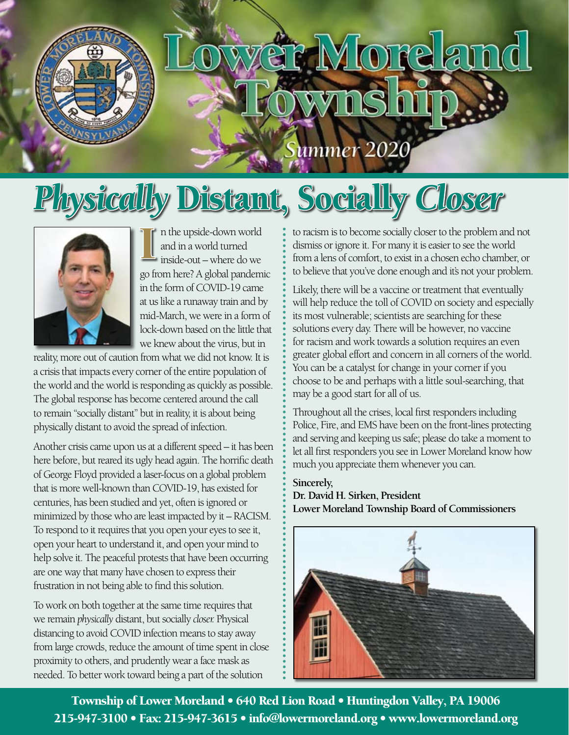

# t Moreland

ummer

## *Physically* Distant, Socially *Closer*



I I is the upside-down world<br>
and in a world turned<br>
inside-out – where do we<br>
go from here? A global pandemic n the upside-down world and in a world turned inside-out – where do we in the form of COVID-19 came at us like a runaway train and by mid-March, we were in a form of lock-down based on the little that we knew about the virus, but in

reality, more out of caution from what we did not know. It is a crisis that impacts every corner of the entire population of the world and the world is responding as quickly as possible. The global response has become centered around the call to remain "socially distant" but in reality, it is about being physically distant to avoid the spread of infection.

Another crisis came upon us at a different speed – it has been here before, but reared its ugly head again. The horrific death of George Floyd provided a laser-focus on a global problem that is more well-known than COVID-19, has existed for centuries, has been studied and yet, often is ignored or minimized by those who are least impacted by it – RACISM. To respond to it requires that you open your eyes to see it, open your heart to understand it, and open your mind to help solve it. The peaceful protests that have been occurring are one way that many have chosen to express their frustration in not being able to find this solution.

To work on both together at the same time requires that we remain *physically* distant, but socially *closer.* Physical distancing to avoid COVID infection means to stay away from large crowds, reduce the amount of time spent in close proximity to others, and prudently wear a face mask as needed. To better work toward being a part of the solution

to racism is to become socially closer to the problem and not dismiss or ignore it. For many it is easier to see the world from a lens of comfort, to exist in a chosen echo chamber, or to believe that you've done enough and it's not your problem.

Likely, there will be a vaccine or treatment that eventually will help reduce the toll of COVID on society and especially its most vulnerable; scientists are searching for these solutions every day. There will be however, no vaccine for racism and work towards a solution requires an even greater global effort and concern in all corners of the world. You can be a catalyst for change in your corner if you choose to be and perhaps with a little soul-searching, that may be a good start for all of us.

Throughout all the crises, local first responders including Police, Fire, and EMS have been on the front-lines protecting and serving and keeping us safe; please do take a moment to let all first responders you see in Lower Moreland know how much you appreciate them whenever you can.

#### **Sincerely,**

**Dr. David H. Sirken, President Lower Moreland Township Board of Commissioners**



Township of Lower Moreland • 640 Red Lion Road • Huntingdon Valley, PA 19006 215-947-3100 • Fax: 215-947-3615 • [info@lowermoreland.or](mailto:info@lowermoreland.org)g • [www.lowermoreland.or](http://www.lowermoreland.org)g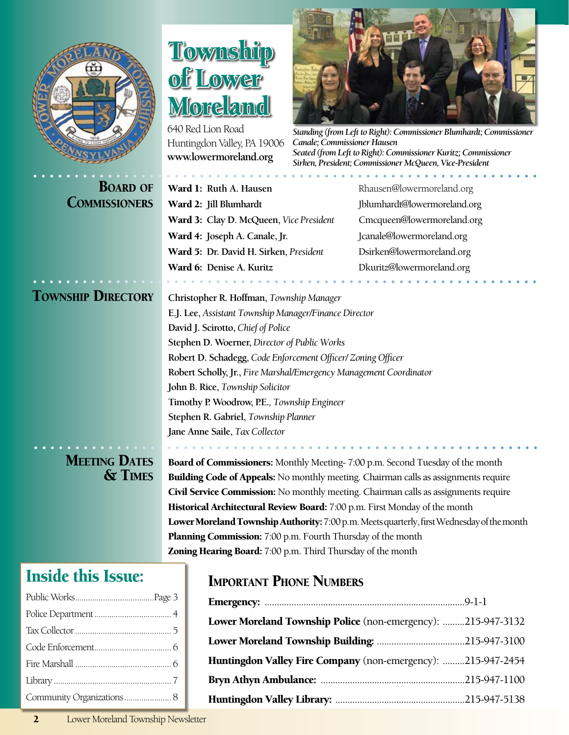

#### Inside this Issue:

### Township Lower ore amd

640 Red Lion Road Huntingdon Valley, PA 19006 **[www.lowermoreland.org](http://www.lowermoreland.org)**



*Standing (from Left to Right): Commissioner Blumhardt; Commissioner Canale; Commissioner Hausen Seated (from Left to Right): Commissioner Kuritz; Commissioner Sirken, President; Commissioner McQueen, Vice-President*

**BOARD OF** Ward 1: Ruth A. Hausen [Rhausen@lowermoreland.org](mailto:Rhausen@lowermoreland.org) **COMMISSIONERS** Ward 2: Jill Blumhardt [Jblumhardt@lowermoreland.org](mailto:Jblumhardt@lower-moreland.org ) Ward 3: **Clay D. McQueen,** *Vice President* [Cmcqueen@lowermoreland.org](mailto:Cmcqueen@lower-moreland.org) Ward 4: Joseph A. Canale, Jr. [Jcanale@lowermoreland.org](mailto:jcanale@lowermoreland.org) Ward 5: **Dr. David H. Sirken,** *President* [Dsirken@lowermoreland.org](mailto:Dsirken@lower-moreland.org) Ward 6: **Denise A. Kuritz** [Dkuritz@lowermoreland.org](mailto:Dkuritz@lower-moreland.org)

Township Directory **Christopher R. Hoffman,** *Township Manager* **E.J. Lee,** *Assistant Township Manager/Finance Director* **David J. Scirotto,** *Chief of Police* **Stephen D. Woerner,** *Director of Public Works* **Robert D. Schadegg,** *Code Enforcement Officer/ Zoning Officer* **Robert Scholly, Jr.,** *Fire Marshal/Emergency Management Coordinator* **John B. Rice,** *Township Solicitor* **Timothy P. Woodrow, P.E.***, Township Engineer* **Stephen R. Gabriel,** *Township Planner* **Jane Anne Saile,** *Tax Collector*

**MEETING DATES** Board of Commissioners: Monthly Meeting- 7:00 p.m. Second Tuesday of the month<br> **SCOMES** Building Code of Appeals: No monthly meeting. Chairman calls as assignments required **Building Code of Appeals:** No monthly meeting. Chairman calls as assignments require Civil Service Commission: No monthly meeting. Chairman calls as assignments require Historical Architectural Review Board: 7:00 p.m. First Monday of the month Lower Moreland Township Authority: 7:00 p.m. Meets quarterly, first Wednesday of the month Planning Commission: 7:00 p.m. Fourth Thursday of the month Zoning Hearing Board: 7:00 p.m. Third Thursday of the month

#### Important Phone Numbers

| Lower Moreland Township Police (non-emergency): 215-947-3132 |  |
|--------------------------------------------------------------|--|
|                                                              |  |
| Huntingdon Valley Fire Company (non-emergency): 215-947-2454 |  |
|                                                              |  |
|                                                              |  |

2 Lower Moreland Township Newsletter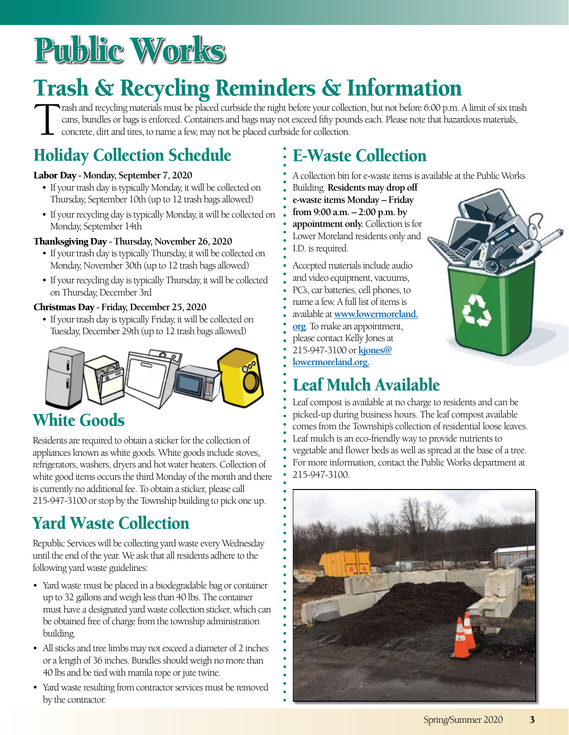## Public Works

### Trash & Recycling Reminders & Information

Trash and recycling materials must be placed curbside the night before your collection, but not before 6:00 p.m. A limit of six trash cans, bundles or bags is enforced. Containers and bags may not exceed fifty pounds each. Please note that hazardous materials, concrete, dirt and tires, to name a few, may not be placed curbside for collection.

#### Holiday Collection Schedule

#### Labor Day **- Monday, September 7, 2020**

- If your trash day is typically Monday, it will be collected on Thursday, September 10th (up to 12 trash bags allowed)
- If your recycling day is typically Monday, it will be collected on Monday, September 14th

#### Thanksgiving Day **- Thursday, November 26, 2020**

- If your trash day is typically Thursday, it will be collected on Monday, November 30th (up to 12 trash bags allowed)
- If your recycling day is typically Thursday, it will be collected on Thursday, December 3rd

#### Christmas Day **- Friday, December 25, 2020**

• If your trash day is typically Friday, it will be collected on Tuesday, December 29th (up to 12 trash bags allowed)



#### White Goods

Residents are required to obtain a sticker for the collection of appliances known as white goods. White goods include stoves, refrigerators, washers, dryers and hot water heaters. Collection of white good items occurs the third Monday of the month and there is currently no additional fee. To obtain a sticker, please call 215-947-3100 or stop by the Township building to pick one up.

#### Yard Waste Collection

Republic Services will be collecting yard waste every Wednesday until the end of the year. We ask that all residents adhere to the following yard waste guidelines:

- Yard waste must be placed in a biodegradable bag or container up to 32 gallons and weigh less than 40 lbs. The container must have a designated yard waste collection sticker, which can be obtained free of charge from the township administration building.
- All sticks and tree limbs may not exceed a diameter of 2 inches or a length of 36 inches. Bundles should weigh no more than 40 lbs and be tied with manila rope or jute twine.
- Yard waste resulting from contractor services must be removed by the contractor.

#### E-Waste Collection

- A collection bin for e-waste items is available at the Public Works
- Building. **Residents may drop off e-waste items Monday – Friday from 9:00 a.m. – 2:00 p.m. by appointment only.** Collection is for Lower Moreland residents only and I.D. is required.

Accepted materials include audio and video equipment, vacuums, PC's, car batteries, cell phones, to name a few. A full list of items is available at **[www.lowermoreland.](www.lowermoreland.org) [org](www.lowermoreland.org)**. To make an appointment, please contact Kelly Jones at 215-947-3100 or **[kjones@](mailto:kjones@lowermoreland.org) [lowermoreland.org.](mailto:kjones@lowermoreland.org)**

#### Leaf Mulch Available

Leaf compost is available at no charge to residents and can be picked-up during business hours. The leaf compost available comes from the Township's collection of residential loose leaves. Leaf mulch is an eco-friendly way to provide nutrients to vegetable and flower beds as well as spread at the base of a tree. For more information, contact the Public Works department at 215-947-3100.

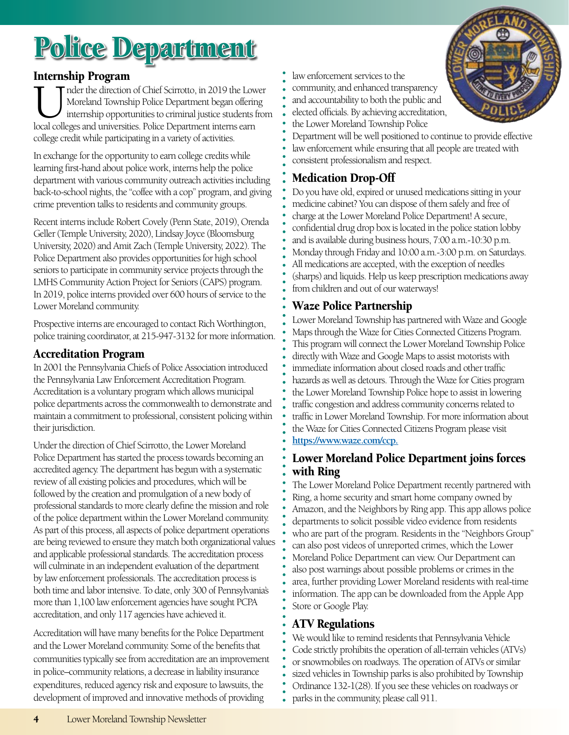## Police Department

#### Internship Program

Inder the direction of Chief Scirrotto, in 2019 the Lower<br>Moreland Township Police Department began offering<br>internship opportunities to criminal justice students from<br>local colleges and universities. Police Department int Moreland Township Police Department began offering internship opportunities to criminal justice students from local colleges and universities. Police Department interns earn college credit while participating in a variety of activities.

In exchange for the opportunity to earn college credits while learning first-hand about police work, interns help the police department with various community outreach activities including back-to-school nights, the "coffee with a cop" program, and giving crime prevention talks to residents and community groups.

Recent interns include Robert Covely (Penn State, 2019), Orenda Geller (Temple University, 2020), Lindsay Joyce (Bloomsburg University, 2020) and Amit Zach (Temple University, 2022). The Police Department also provides opportunities for high school seniors to participate in community service projects through the LMHS Community Action Project for Seniors (CAPS) program. In 2019, police interns provided over 600 hours of service to the Lower Moreland community.

Prospective interns are encouraged to contact Rich Worthington, police training coordinator, at 215-947-3132 for more information.

#### Accreditation Program

In 2001 the Pennsylvania Chiefs of Police Association introduced the Pennsylvania Law Enforcement Accreditation Program. Accreditation is a voluntary program which allows municipal police departments across the commonwealth to demonstrate and maintain a commitment to professional, consistent policing within their jurisdiction.

Under the direction of Chief Scirrotto, the Lower Moreland Police Department has started the process towards becoming an accredited agency. The department has begun with a systematic review of all existing policies and procedures, which will be followed by the creation and promulgation of a new body of professional standards to more clearly define the mission and role of the police department within the Lower Moreland community. As part of this process, all aspects of police department operations are being reviewed to ensure they match both organizational values and applicable professional standards. The accreditation process will culminate in an independent evaluation of the department by law enforcement professionals. The accreditation process is both time and labor intensive. To date, only 300 of Pennsylvania's more than 1,100 law enforcement agencies have sought PCPA accreditation, and only 117 agencies have achieved it.

Accreditation will have many benefits for the Police Department and the Lower Moreland community. Some of the benefits that communities typically see from accreditation are an improvement in police–community relations, a decrease in liability insurance expenditures, reduced agency risk and exposure to lawsuits, the development of improved and innovative methods of providing

- law enforcement services to the
- community, and enhanced transparency
- and accountability to both the public and
- elected officials. By achieving accreditation, the Lower Moreland Township Police
- Department will be well positioned to continue to provide effective law enforcement while ensuring that all people are treated with consistent professionalism and respect.

#### Medication Drop-Off

Do you have old, expired or unused medications sitting in your medicine cabinet? You can dispose of them safely and free of charge at the Lower Moreland Police Department! A secure, confidential drug drop box is located in the police station lobby and is available during business hours, 7:00 a.m.-10:30 p.m. Monday through Friday and 10:00 a.m.-3:00 p.m. on Saturdays. All medications are accepted, with the exception of needles (sharps) and liquids. Help us keep prescription medications away from children and out of our waterways!

#### Waze Police Partnership

Lower Moreland Township has partnered with Waze and Google Maps through the Waze for Cities Connected Citizens Program. This program will connect the Lower Moreland Township Police directly with Waze and Google Maps to assist motorists with immediate information about closed roads and other traffic hazards as well as detours. Through the Waze for Cities program the Lower Moreland Township Police hope to assist in lowering traffic congestion and address community concerns related to traffic in Lower Moreland Township. For more information about the Waze for Cities Connected Citizens Program please visit **[https://www.waze.com/ccp.](https://www.waze.com/ccp)**

#### Lower Moreland Police Department joins forces with Ring

The Lower Moreland Police Department recently partnered with Ring, a home security and smart home company owned by Amazon, and the Neighbors by Ring app. This app allows police departments to solicit possible video evidence from residents who are part of the program. Residents in the "Neighbors Group" can also post videos of unreported crimes, which the Lower Moreland Police Department can view. Our Department can also post warnings about possible problems or crimes in the area, further providing Lower Moreland residents with real-time information. The app can be downloaded from the Apple App Store or Google Play.

#### ATV Regulations

We would like to remind residents that Pennsylvania Vehicle Code strictly prohibits the operation of all-terrain vehicles (ATVs) or snowmobiles on roadways. The operation of ATVs or similar sized vehicles in Township parks is also prohibited by Township Ordinance 132-1(28). If you see these vehicles on roadways or parks in the community, please call 911.

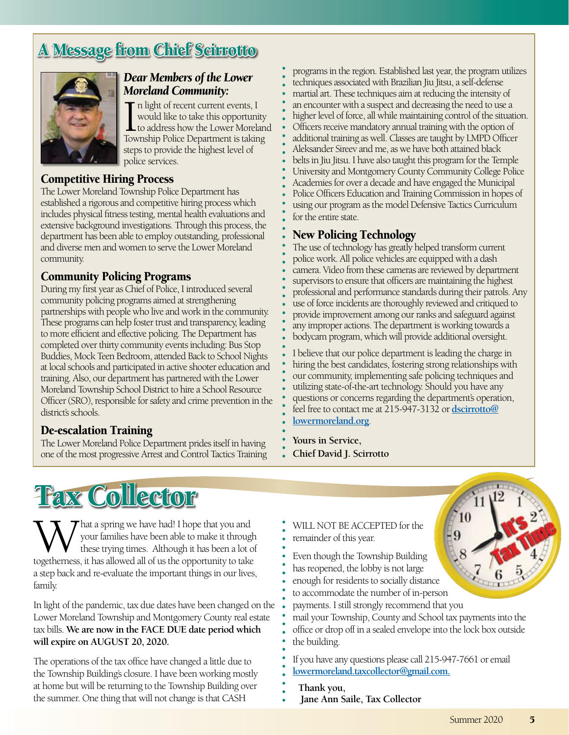#### A Message from Chief Scirrotto



#### *Dear Members of the Lower Moreland Community:*

In light of recent current events, I<br>
would like to take this opportunity<br>
to address how the Lower Morelan<br>
Township Police Department is taking n light of recent current events, I would like to take this opportunity to address how the Lower Moreland steps to provide the highest level of police services.

#### Competitive Hiring Process

The Lower Moreland Township Police Department has established a rigorous and competitive hiring process which includes physical fitness testing, mental health evaluations and extensive background investigations. Through this process, the department has been able to employ outstanding, professional and diverse men and women to serve the Lower Moreland community.

#### Community Policing Programs

During my first year as Chief of Police, I introduced several community policing programs aimed at strengthening partnerships with people who live and work in the community. These programs can help foster trust and transparency, leading to more efficient and effective policing. The Department has completed over thirty community events including: Bus Stop Buddies, Mock Teen Bedroom, attended Back to School Nights at local schools and participated in active shooter education and training. Also, our department has partnered with the Lower Moreland Township School District to hire a School Resource Officer (SRO), responsible for safety and crime prevention in the district's schools

#### De-escalation Training

The Lower Moreland Police Department prides itself in having one of the most progressive Arrest and Control Tactics Training

programs in the region. Established last year, the program utilizes techniques associated with Brazilian Jiu Jitsu, a self-defense martial art. These techniques aim at reducing the intensity of an encounter with a suspect and decreasing the need to use a higher level of force, all while maintaining control of the situation. Officers receive mandatory annual training with the option of additional training as well. Classes are taught by LMPD Officer Aleksander Sireev and me, as we have both attained black belts in Jiu Jitsu. I have also taught this program for the Temple University and Montgomery County Community College Police Academies for over a decade and have engaged the Municipal Police Officers Education and Training Commission in hopes of using our program as the model Defensive Tactics Curriculum for the entire state.

#### New Policing Technology

The use of technology has greatly helped transform current police work. All police vehicles are equipped with a dash camera. Video from these cameras are reviewed by department supervisors to ensure that officers are maintaining the highest professional and performance standards during their patrols. Any use of force incidents are thoroughly reviewed and critiqued to provide improvement among our ranks and safeguard against any improper actions. The department is working towards a bodycam program, which will provide additional oversight.

I believe that our police department is leading the charge in hiring the best candidates, fostering strong relationships with our community, implementing safe policing techniques and utilizing state-of-the-art technology. Should you have any questions or concerns regarding the department's operation, feel free to contact me at 215-947-3132 or **[dscirrotto@](mailto:dscirrotto@lowermoreland.org) [lowermoreland.org](mailto:dscirrotto@lowermoreland.org)**.

**Yours in Service, Chief David J. Scirrotto**

## Tax Collector

What a spring we have had! I hope that you and<br>these trying times. Although it has been a lot of<br>togetherness, it has allowed all of us the opportunity to take your families have been able to make it through these trying times. Although it has been a lot of togetherness, it has allowed all of us the opportunity to take a step back and re-evaluate the important things in our lives, family.

In light of the pandemic, tax due dates have been changed on the Lower Moreland Township and Montgomery County real estate tax bills. **We are now in the FACE DUE date period which will expire on AUGUST 20, 2020.** 

The operations of the tax office have changed a little due to the Township Building's closure. I have been working mostly at home but will be returning to the Township Building over the summer. One thing that will not change is that CASH

- WILL NOT BE ACCEPTED for the remainder of this year.
- Even though the Township Building
- has reopened, the lobby is not large
- enough for residents to socially distance
- to accommodate the number of in-person
- payments. I still strongly recommend that you

mail your Township, County and School tax payments into the office or drop off in a sealed envelope into the lock box outside the building.

If you have any questions please call 215-947-7661 or email **[lowermoreland.taxcollector@gmail.com.](mailto:lowermoreland.taxcollector@gmail.com)**

**Thank you, Jane Ann Saile, Tax Collector**

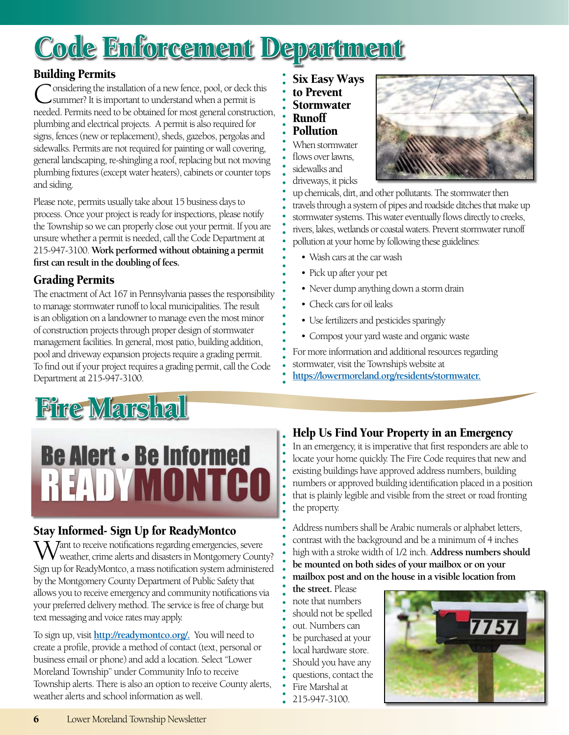## Code Enforcement Department

#### Building Permits

`onsidering the installation of a new fence, pool, or deck this summer? It is important to understand when a permit is needed. Permits need to be obtained for most general construction, plumbing and electrical projects. A permit is also required for signs, fences (new or replacement), sheds, gazebos, pergolas and sidewalks. Permits are not required for painting or wall covering, general landscaping, re-shingling a roof, replacing but not moving plumbing fixtures (except water heaters), cabinets or counter tops and siding.

Please note, permits usually take about 15 business days to process. Once your project is ready for inspections, please notify the Township so we can properly close out your permit. If you are unsure whether a permit is needed, call the Code Department at 215-947-3100. **Work performed without obtaining a permit first can result in the doubling of fees.** 

#### Grading Permits

The enactment of Act 167 in Pennsylvania passes the responsibility to manage stormwater runoff to local municipalities. The result is an obligation on a landowner to manage even the most minor of construction projects through proper design of stormwater management facilities. In general, most patio, building addition, pool and driveway expansion projects require a grading permit. To find out if your project requires a grading permit, call the Code Department at 215-947-3100.

## Fire Marshal

## **Be Alert - Be Informed READYMONTCO**

#### Stay Informed- Sign Up for ReadyMontco

 $\bar{\lambda}$  *Tant to receive notifications regarding emergencies, severe* weather, crime alerts and disasters in Montgomery County? Sign up for ReadyMontco, a mass notification system administered by the Montgomery County Department of Public Safety that allows you to receive emergency and community notifications via your preferred delivery method. The service is free of charge but text messaging and voice rates may apply.

To sign up, visit **[http://readymontco.org/.](http://readymontco.org)** You will need to create a profile, provide a method of contact (text, personal or business email or phone) and add a location. Select "Lower Moreland Township" under Community Info to receive Township alerts. There is also an option to receive County alerts, weather alerts and school information as well.

Six Easy Ways to Prevent Stormwater Runoff Pollution

When stormwater flows over lawns, sidewalks and driveways, it picks



up chemicals, dirt, and other pollutants. The stormwater then travels through a system of pipes and roadside ditches that make up stormwater systems. This water eventually flows directly to creeks, rivers, lakes, wetlands or coastal waters. Prevent stormwater runoff pollution at your home by following these guidelines:

- Wash cars at the car wash
- Pick up after your pet
- Never dump anything down a storm drain
- Check cars for oil leaks
- Use fertilizers and pesticides sparingly
- • Compost your yard waste and organic waste

For more information and additional resources regarding stormwater, visit the Township's website at **[https://lowermoreland.org/residents/stormwater.](https://lowermoreland.org/residents/stormwater)**

#### Help Us Find Your Property in an Emergency

In an emergency, it is imperative that first responders are able to locate your home quickly. The Fire Code requires that new and existing buildings have approved address numbers, building numbers or approved building identification placed in a position that is plainly legible and visible from the street or road fronting the property.

Address numbers shall be Arabic numerals or alphabet letters, contrast with the background and be a minimum of 4 inches high with a stroke width of 1/2 inch. **Address numbers should be mounted on both sides of your mailbox or on your mailbox post and on the house in a visible location from** 

**the street.** Please note that numbers should not be spelled out. Numbers can be purchased at your local hardware store. Should you have any questions, contact the Fire Marshal at 215-947-3100.

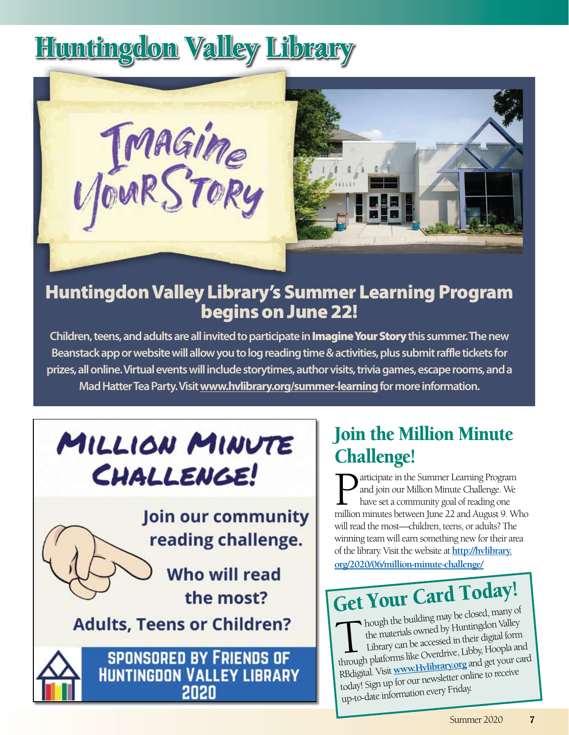## Huntingdon Valley Library



#### Huntingdon Valley Library's Summer Learning Program begins on June 22!

**Children, teens, and adults are all invited to participate in** Imagine Your Story **this summer. The new Beanstack app or website will allow you to log reading time & activities, plus submit raffle tickets for prizes, all online. Virtual events will include storytimes, author visits, trivia games, escape rooms, and a Mad Hatter Tea Party. Visit [www.hvlibrary.org/summer-learning](http://www.hvlibrary.org/summer-learning) for more information.** 

## MILLION MINUTE CHALLENGE!

Join our community reading challenge.

> **Who will read** the most?

#### **Adults, Teens or Children?**



**SPONSORED BY FRIENDS OF HUNTINGDON VALLEY LIBRARY** 2020

#### Join the Million Minute Challenge!

articipate in the Summer Learning Program and join our Million Minute Challenge. We have set a community goal of reading one million minutes between June 22 and August 9. Who will read the most—children, teens, or adults? The winning team will earn something new for their area of the library. Visit the website at **[http://hvlibrary.](http://hvlibrary.org/2020/06/million-minute-challenge/) [org/2020/06/million-minute-challenge/](http://hvlibrary.org/2020/06/million-minute-challenge/)**

## Get Your Card Today!

In a building may be closed, many of the materials owned by Huntingdon Valley Library can be accessed in their digital form the materials owned by Huntingdon Valley through platforms like Overdrive, Libby, Hoopla and RBdigital. Visit **[www.Hvlibrary.org](http://www.Hvlibrary.org)** and get your card today! Sign up for our newsletter online to receive up-to-date information every Friday.